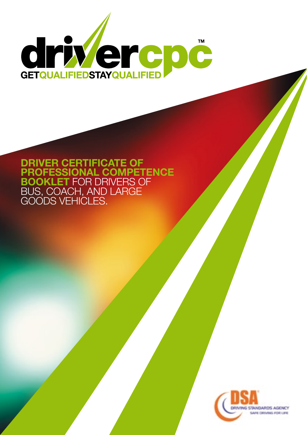

#### **Driver Certificate of Professional Competence Booklet** for drivers of bus, coach, and large goods vehicles.

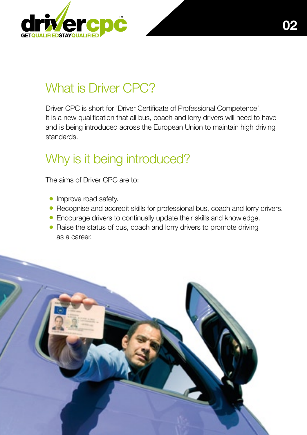

# What is Driver CPC?

Driver CPC is short for 'Driver Certificate of Professional Competence'. It is a new qualification that all bus, coach and lorry drivers will need to have and is being introduced across the European Union to maintain high driving standards.

# Why is it being introduced?

The aims of Driver CPC are to:

- Improve road safety.
- Recognise and accredit skills for professional bus, coach and lorry drivers.
- Encourage drivers to continually update their skills and knowledge.
- Raise the status of bus, coach and lorry drivers to promote driving as a career.

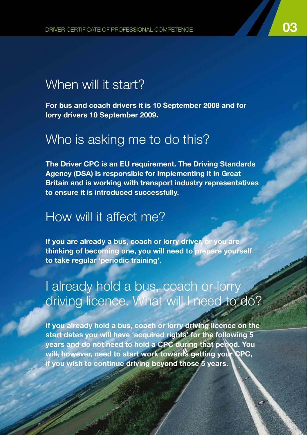#### When will it start?

**For bus and coach drivers it is 10 September 2008 and for lorry drivers 10 September 2009.**

#### Who is asking me to do this?

**The Driver CPC is an EU requirement. The Driving Standards Agency (DSA) is responsible for implementing it in Great Britain and is working with transport industry representatives to ensure it is introduced successfully.** 

#### How will it affect me?

**If you are already a bus, coach or lorry driver, or you are thinking of becoming one, you will need to prepare yourself to take regular 'periodic training'.** 

### I already hold a bus, coach or lorry driving licence. What will I need to do?

**If you already hold a bus, coach or lorry driving licence on the start dates you will have 'acquired rights' for the following 5 years and do not need to hold a CPC during that period. You will, however, need to start work towards getting your CPC, if you wish to continue driving beyond those 5 years.**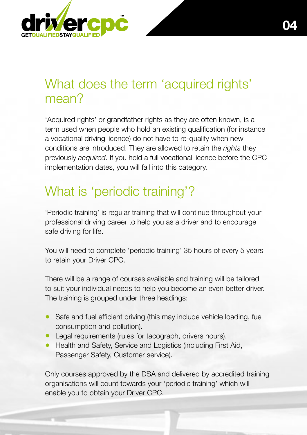

## What does the term 'acquired rights' mean?

'Acquired rights' or grandfather rights as they are often known, is a term used when people who hold an existing qualification (for instance a vocational driving licence) do not have to re-qualify when new conditions are introduced. They are allowed to retain the *rights* they previously *acquired*. If you hold a full vocational licence before the CPC implementation dates, you will fall into this category.

# What is 'periodic training'?

'Periodic training' is regular training that will continue throughout your professional driving career to help you as a driver and to encourage safe driving for life.

You will need to complete 'periodic training' 35 hours of every 5 years to retain your Driver CPC.

There will be a range of courses available and training will be tailored to suit your individual needs to help you become an even better driver. The training is grouped under three headings:

- Safe and fuel efficient driving (this may include vehicle loading, fuel consumption and pollution).
- Legal requirements (rules for tacograph, drivers hours).
- Health and Safety, Service and Logistics (including First Aid, Passenger Safety, Customer service).

Only courses approved by the DSA and delivered by accredited training organisations will count towards your 'periodic training' which will enable you to obtain your Driver CPC.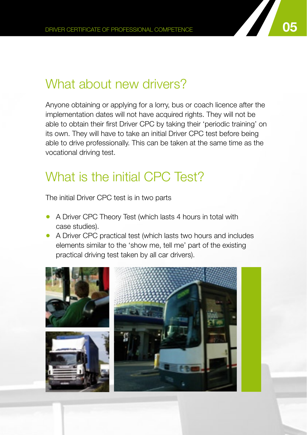## What about new drivers?

Anyone obtaining or applying for a lorry, bus or coach licence after the implementation dates will not have acquired rights. They will not be able to obtain their first Driver CPC by taking their 'periodic training' on its own. They will have to take an initial Driver CPC test before being able to drive professionally. This can be taken at the same time as the vocational driving test.

## What is the initial CPC Test?

The initial Driver CPC test is in two parts

- A Driver CPC Theory Test (which lasts 4 hours in total with case studies).
- A Driver CPC practical test (which lasts two hours and includes elements similar to the 'show me, tell me' part of the existing practical driving test taken by all car drivers).

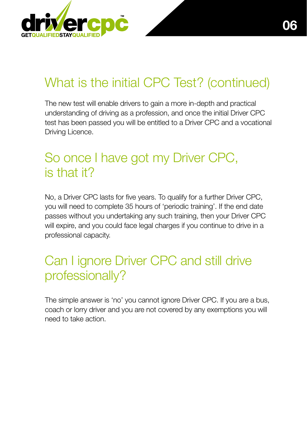

# What is the initial CPC Test? (continued)

The new test will enable drivers to gain a more in-depth and practical understanding of driving as a profession, and once the initial Driver CPC test has been passed you will be entitled to a Driver CPC and a vocational Driving Licence.

## So once I have got my Driver CPC, is that it?

No, a Driver CPC lasts for five years. To qualify for a further Driver CPC, you will need to complete 35 hours of 'periodic training'. If the end date passes without you undertaking any such training, then your Driver CPC will expire, and you could face legal charges if you continue to drive in a professional capacity.

## Can I ignore Driver CPC and still drive professionally?

The simple answer is 'no' you cannot ignore Driver CPC. If you are a bus, coach or lorry driver and you are not covered by any exemptions you will need to take action. **•**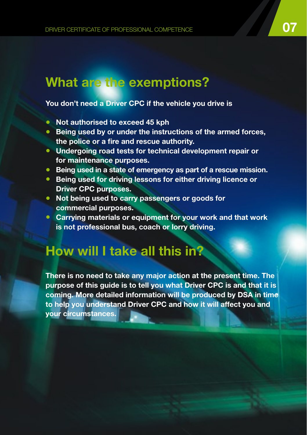## **What are the exemptions?**

#### **You don't need a Driver CPC if the vehicle you drive is**

- **Not authorised to exceed 45 kph**
- **Being used by or under the instructions of the armed forces, the police or a fire and rescue authority.**
- **Undergoing road tests for technical development repair or for maintenance purposes.**
- **Being used in a state of emergency as part of a rescue mission.**
- **Being used for driving lessons for either driving licence or Driver CPC purposes.**
- **Not being used to carry passengers or goods for commercial purposes.**
- **Carrying materials or equipment for your work and that work is not professional bus, coach or lorry driving.**

#### **How will I take all this in?**

**There is no need to take any major action at the present time. The purpose of this guide is to tell you what Driver CPC is and that it is coming. More detailed information will be produced by DSA in time to help you understand Driver CPC and how it will affect you and your circumstances.**